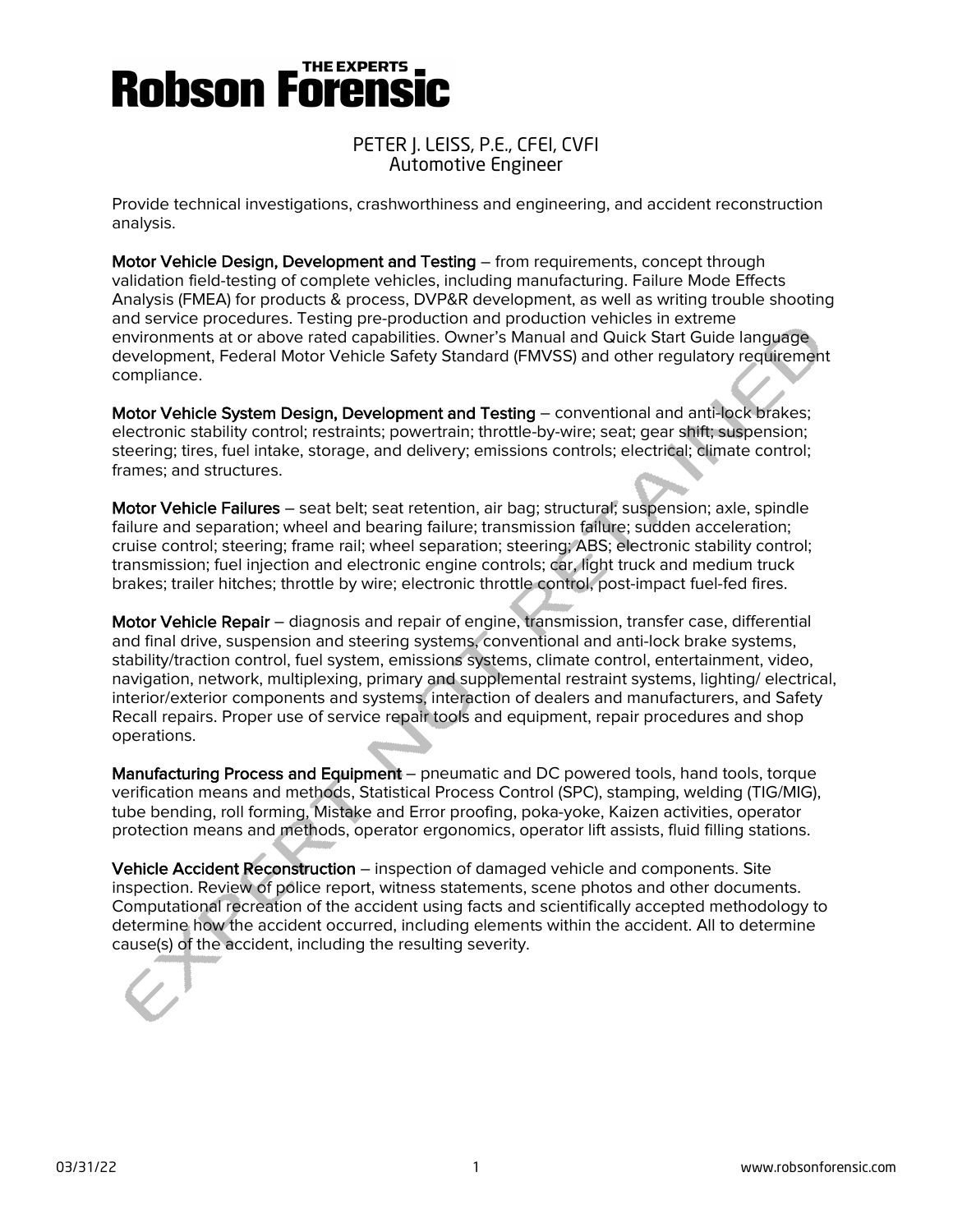# PETER J. LEISS, P.E., CFEI, CVFI Automotive Engineer

Provide technical investigations, crashworthiness and engineering, and accident reconstruction analysis.

Motor Vehicle Design, Development and Testing – from requirements, concept through validation field-testing of complete vehicles, including manufacturing. Failure Mode Effects Analysis (FMEA) for products & process, DVP&R development, as well as writing trouble shooting and service procedures. Testing pre-production and production vehicles in extreme environments at or above rated capabilities. Owner's Manual and Quick Start Guide language development, Federal Motor Vehicle Safety Standard (FMVSS) and other regulatory requirement compliance.

Motor Vehicle System Design, Development and Testing – conventional and anti-lock brakes; electronic stability control; restraints; powertrain; throttle-by-wire; seat; gear shift; suspension; steering; tires, fuel intake, storage, and delivery; emissions controls; electrical; climate control; frames; and structures.

Motor Vehicle Failures – seat belt; seat retention, air bag; structural; suspension; axle, spindle failure and separation; wheel and bearing failure; transmission failure; sudden acceleration; cruise control; steering; frame rail; wheel separation; steering; ABS; electronic stability control; transmission; fuel injection and electronic engine controls; car, light truck and medium truck brakes; trailer hitches; throttle by wire; electronic throttle control, post-impact fuel-fed fires.

Motor Vehicle Repair – diagnosis and repair of engine, transmission, transfer case, differential and final drive, suspension and steering systems, conventional and anti-lock brake systems, stability/traction control, fuel system, emissions systems, climate control, entertainment, video, navigation, network, multiplexing, primary and supplemental restraint systems, lighting/ electrical, interior/exterior components and systems, interaction of dealers and manufacturers, and Safety Recall repairs. Proper use of service repair tools and equipment, repair procedures and shop operations.

Manufacturing Process and Equipment – pneumatic and DC powered tools, hand tools, torque verification means and methods, Statistical Process Control (SPC), stamping, welding (TIG/MIG), tube bending, roll forming, Mistake and Error proofing, poka-yoke, Kaizen activities, operator protection means and methods, operator ergonomics, operator lift assists, fluid filling stations.

Vehicle Accident Reconstruction – inspection of damaged vehicle and components. Site inspection. Review of police report, witness statements, scene photos and other documents. Computational recreation of the accident using facts and scientifically accepted methodology to determine how the accident occurred, including elements within the accident. All to determine cause(s) of the accident, including the resulting severity.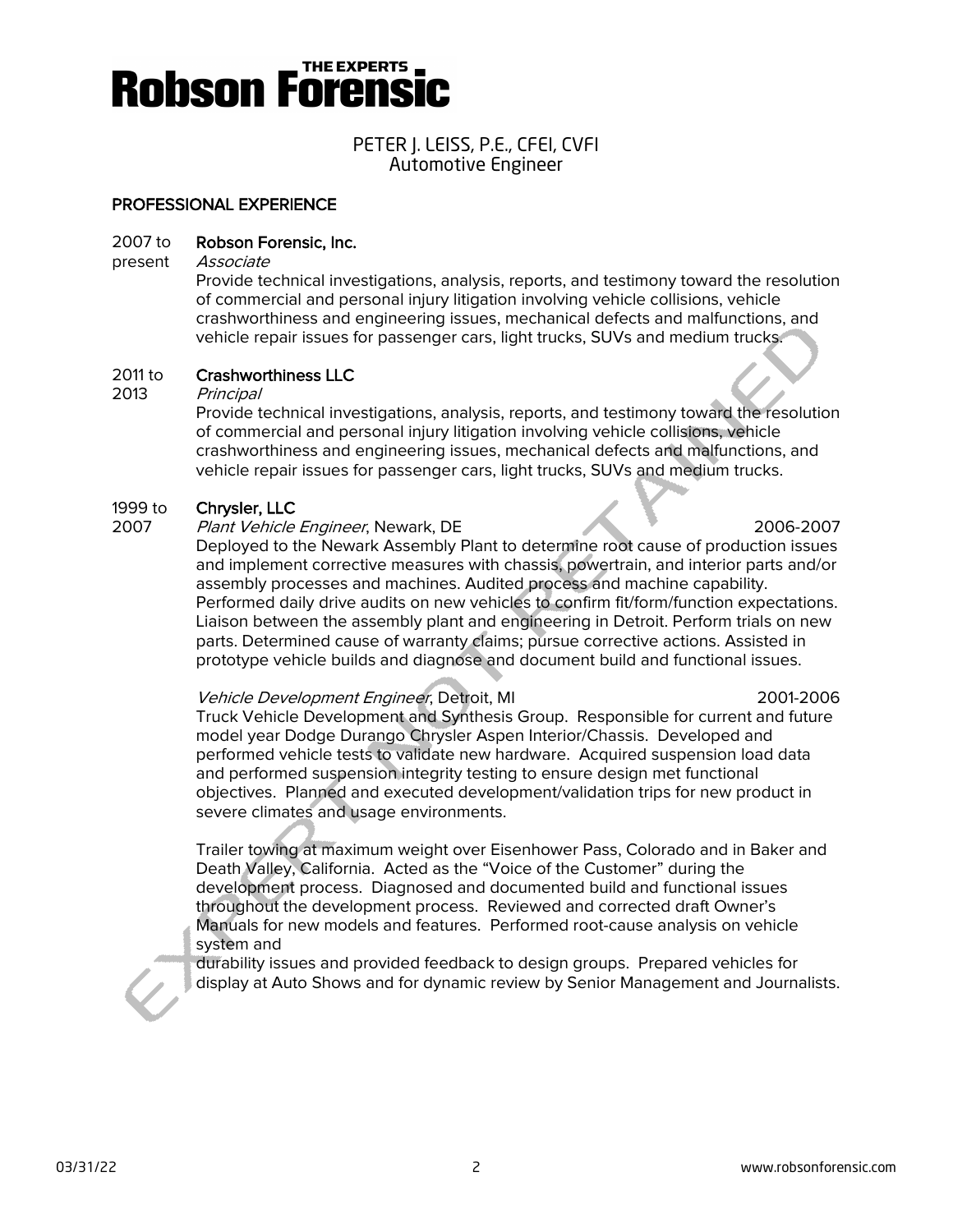

### PETER J. LEISS, P.E., CFEI, CVFI Automotive Engineer

#### PROFESSIONAL EXPERIENCE

#### 2007 to Robson Forensic, Inc.

present Associate

Provide technical investigations, analysis, reports, and testimony toward the resolution of commercial and personal injury litigation involving vehicle collisions, vehicle crashworthiness and engineering issues, mechanical defects and malfunctions, and vehicle repair issues for passenger cars, light trucks, SUVs and medium trucks.

#### 2011 to Crashworthiness LLC

2013 Principal

Provide technical investigations, analysis, reports, and testimony toward the resolution of commercial and personal injury litigation involving vehicle collisions, vehicle crashworthiness and engineering issues, mechanical defects and malfunctions, and vehicle repair issues for passenger cars, light trucks, SUVs and medium trucks.

#### 1999 to Chrysler, LLC

2007 Plant Vehicle Engineer, Newark, DE 2006-2007

Deployed to the Newark Assembly Plant to determine root cause of production issues and implement corrective measures with chassis, powertrain, and interior parts and/or assembly processes and machines. Audited process and machine capability. Performed daily drive audits on new vehicles to confirm fit/form/function expectations. Liaison between the assembly plant and engineering in Detroit. Perform trials on new parts. Determined cause of warranty claims; pursue corrective actions. Assisted in prototype vehicle builds and diagnose and document build and functional issues.

#### Vehicle Development Engineer, Detroit, MI 2001-2006

Truck Vehicle Development and Synthesis Group. Responsible for current and future model year Dodge Durango Chrysler Aspen Interior/Chassis. Developed and performed vehicle tests to validate new hardware. Acquired suspension load data and performed suspension integrity testing to ensure design met functional objectives. Planned and executed development/validation trips for new product in severe climates and usage environments.

Trailer towing at maximum weight over Eisenhower Pass, Colorado and in Baker and Death Valley, California. Acted as the "Voice of the Customer" during the development process. Diagnosed and documented build and functional issues throughout the development process. Reviewed and corrected draft Owner's Manuals for new models and features. Performed root-cause analysis on vehicle system and

durability issues and provided feedback to design groups. Prepared vehicles for display at Auto Shows and for dynamic review by Senior Management and Journalists.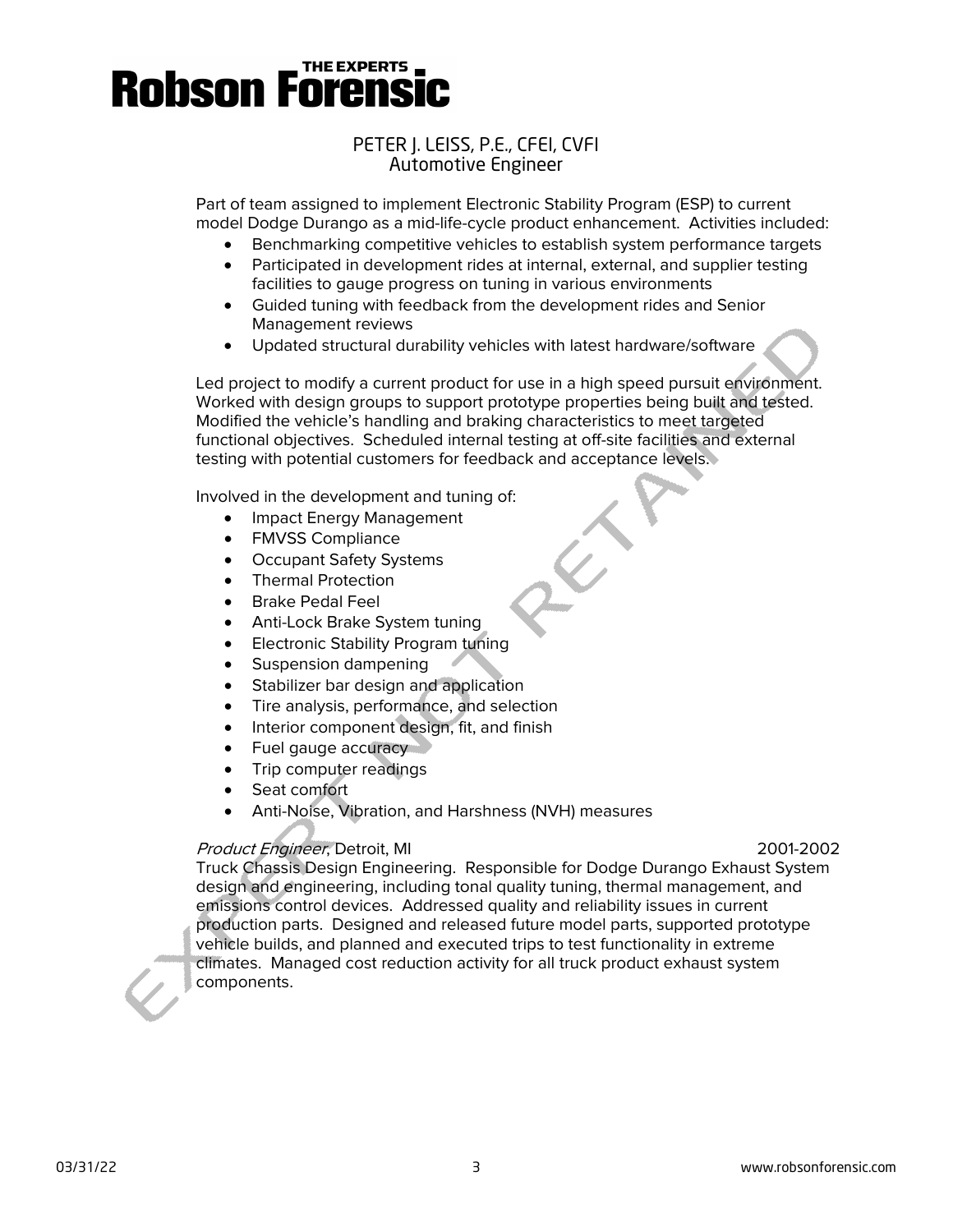# PETER J. LEISS, P.E., CFEI, CVFI Automotive Engineer

Part of team assigned to implement Electronic Stability Program (ESP) to current model Dodge Durango as a mid-life-cycle product enhancement. Activities included:

- Benchmarking competitive vehicles to establish system performance targets
- Participated in development rides at internal, external, and supplier testing facilities to gauge progress on tuning in various environments
- Guided tuning with feedback from the development rides and Senior Management reviews
- Updated structural durability vehicles with latest hardware/software

Led project to modify a current product for use in a high speed pursuit environment. Worked with design groups to support prototype properties being built and tested. Modified the vehicle's handling and braking characteristics to meet targeted functional objectives. Scheduled internal testing at off-site facilities and external testing with potential customers for feedback and acceptance levels.

Involved in the development and tuning of:

- Impact Energy Management
- FMVSS Compliance
- Occupant Safety Systems
- Thermal Protection
- Brake Pedal Feel
- Anti-Lock Brake System tuning
- Electronic Stability Program tuning
- Suspension dampening
- Stabilizer bar design and application
- Tire analysis, performance, and selection
- Interior component design, fit, and finish
- Fuel gauge accuracy
- Trip computer readings
- Seat comfort
- Anti-Noise, Vibration, and Harshness (NVH) measures

# Product Engineer, Detroit, MI 2001-2002

Truck Chassis Design Engineering. Responsible for Dodge Durango Exhaust System design and engineering, including tonal quality tuning, thermal management, and emissions control devices. Addressed quality and reliability issues in current production parts. Designed and released future model parts, supported prototype vehicle builds, and planned and executed trips to test functionality in extreme climates. Managed cost reduction activity for all truck product exhaust system components.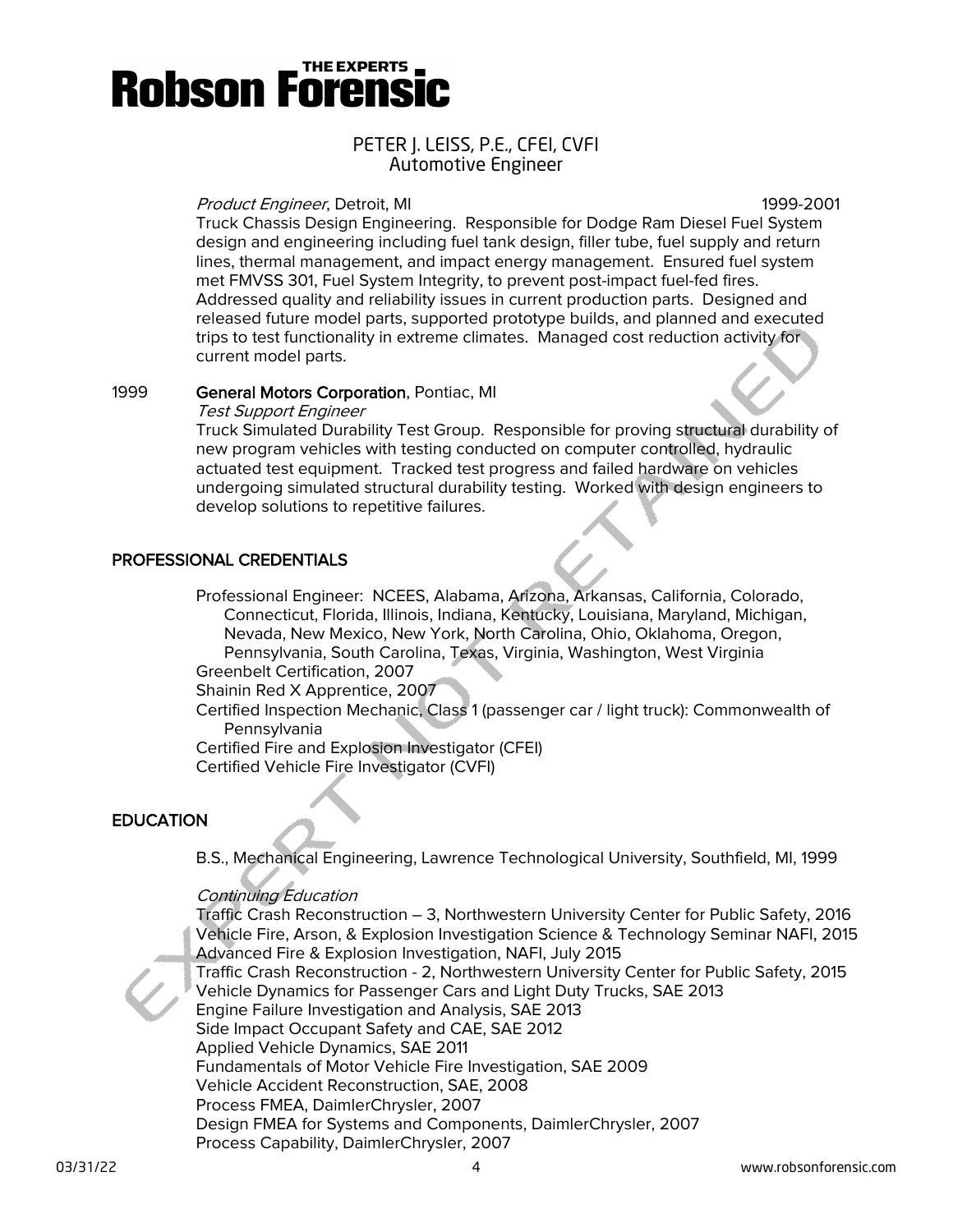## PETER J. LEISS, P.E., CFEI, CVFI Automotive Engineer

#### Product Engineer, Detroit, MI 1999-2001

Truck Chassis Design Engineering. Responsible for Dodge Ram Diesel Fuel System design and engineering including fuel tank design, filler tube, fuel supply and return lines, thermal management, and impact energy management. Ensured fuel system met FMVSS 301, Fuel System Integrity, to prevent post-impact fuel-fed fires. Addressed quality and reliability issues in current production parts. Designed and released future model parts, supported prototype builds, and planned and executed trips to test functionality in extreme climates. Managed cost reduction activity for current model parts.

#### 1999 General Motors Corporation, Pontiac, MI

Test Support Engineer

Truck Simulated Durability Test Group. Responsible for proving structural durability of new program vehicles with testing conducted on computer controlled, hydraulic actuated test equipment. Tracked test progress and failed hardware on vehicles undergoing simulated structural durability testing. Worked with design engineers to develop solutions to repetitive failures.

### PROFESSIONAL CREDENTIALS

Professional Engineer: NCEES, Alabama, Arizona, Arkansas, California, Colorado, Connecticut, Florida, Illinois, Indiana, Kentucky, Louisiana, Maryland, Michigan, Nevada, New Mexico, New York, North Carolina, Ohio, Oklahoma, Oregon, Pennsylvania, South Carolina, Texas, Virginia, Washington, West Virginia Greenbelt Certification, 2007

Shainin Red X Apprentice, 2007

Certified Inspection Mechanic, Class 1 (passenger car / light truck): Commonwealth of Pennsylvania

Certified Fire and Explosion Investigator (CFEI) Certified Vehicle Fire Investigator (CVFI)

### **EDUCATION**

B.S., Mechanical Engineering, Lawrence Technological University, Southfield, MI, 1999

#### Continuing Education

Traffic Crash Reconstruction – 3, Northwestern University Center for Public Safety, 2016 Vehicle Fire, Arson, & Explosion Investigation Science & Technology Seminar NAFI, 2015 Advanced Fire & Explosion Investigation, NAFI, July 2015 Traffic Crash Reconstruction - 2, Northwestern University Center for Public Safety, 2015 Vehicle Dynamics for Passenger Cars and Light Duty Trucks, SAE 2013 Engine Failure Investigation and Analysis, SAE 2013 Side Impact Occupant Safety and CAE, SAE 2012 Applied Vehicle Dynamics, SAE 2011 Fundamentals of Motor Vehicle Fire Investigation, SAE 2009 Vehicle Accident Reconstruction, SAE, 2008 Process FMEA, DaimlerChrysler, 2007 Design FMEA for Systems and Components, DaimlerChrysler, 2007 Process Capability, DaimlerChrysler, 2007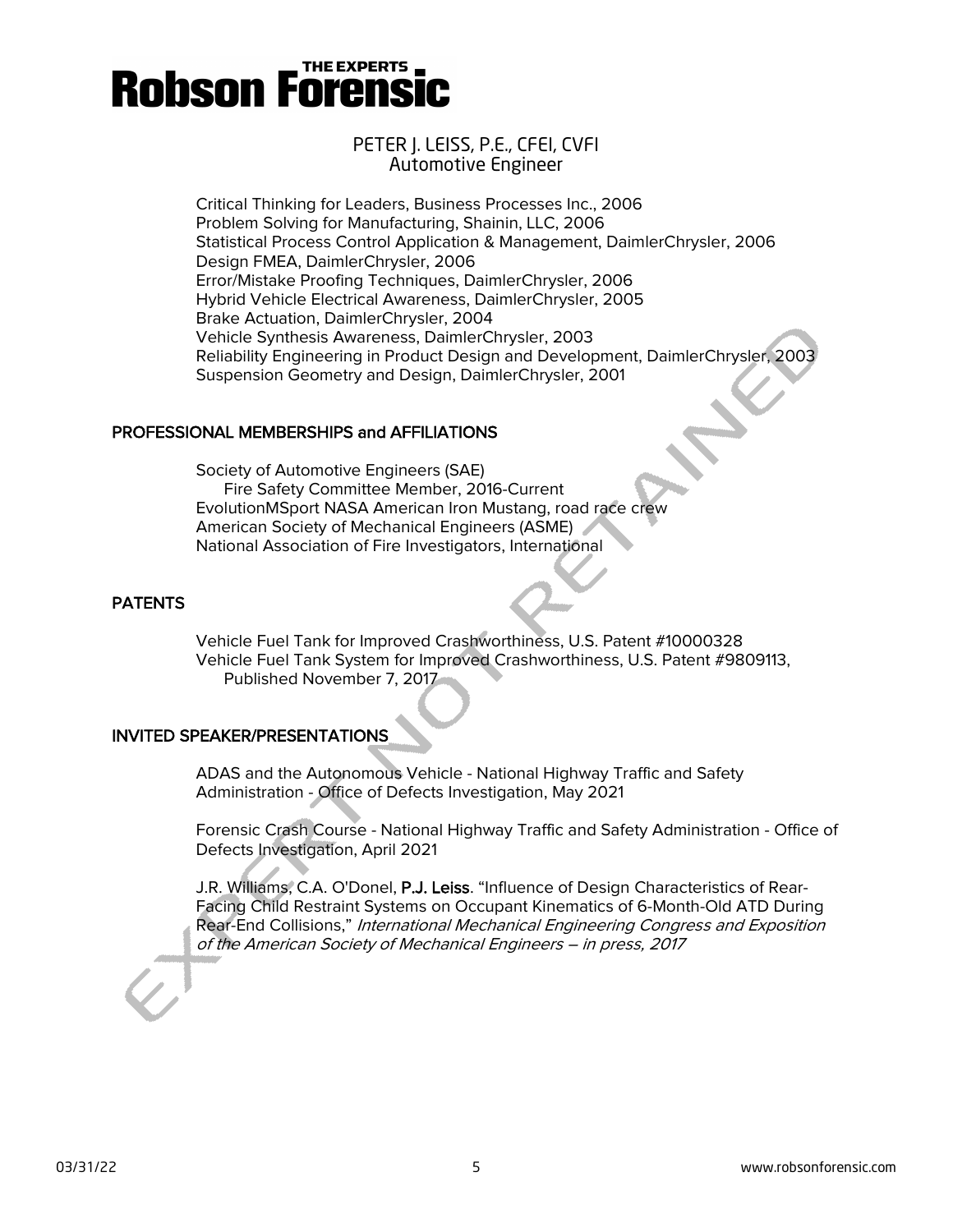# PETER J. LEISS, P.E., CFEI, CVFI Automotive Engineer

Critical Thinking for Leaders, Business Processes Inc., 2006 Problem Solving for Manufacturing, Shainin, LLC, 2006 Statistical Process Control Application & Management, DaimlerChrysler, 2006 Design FMEA, DaimlerChrysler, 2006 Error/Mistake Proofing Techniques, DaimlerChrysler, 2006 Hybrid Vehicle Electrical Awareness, DaimlerChrysler, 2005 Brake Actuation, DaimlerChrysler, 2004 Vehicle Synthesis Awareness, DaimlerChrysler, 2003 Reliability Engineering in Product Design and Development, DaimlerChrysler, 2003 Suspension Geometry and Design, DaimlerChrysler, 2001

# PROFESSIONAL MEMBERSHIPS and AFFILIATIONS

Society of Automotive Engineers (SAE) Fire Safety Committee Member, 2016-Current EvolutionMSport NASA American Iron Mustang, road race crew American Society of Mechanical Engineers (ASME) National Association of Fire Investigators, International

# **PATENTS**

Vehicle Fuel Tank for Improved Crashworthiness, U.S. Patent #10000328 Vehicle Fuel Tank System for Improved Crashworthiness, U.S. Patent #9809113, Published November 7, 2017

# INVITED SPEAKER/PRESENTATIONS

ADAS and the Autonomous Vehicle - National Highway Traffic and Safety Administration - Office of Defects Investigation, May 2021

Forensic Crash Course - National Highway Traffic and Safety Administration - Office of Defects Investigation, April 2021

J.R. Williams, C.A. O'Donel, P.J. Leiss. "Influence of Design Characteristics of Rear-Facing Child Restraint Systems on Occupant Kinematics of 6-Month-Old ATD During Rear-End Collisions," International Mechanical Engineering Congress and Exposition of the American Society of Mechanical Engineers – in press, 2017